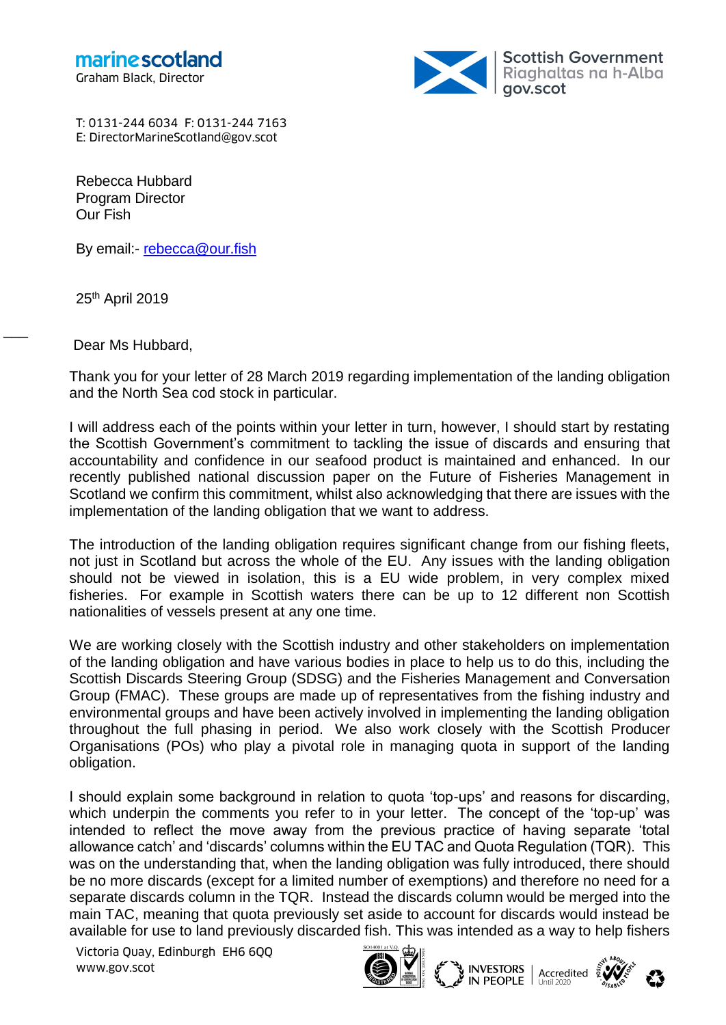

T: 0131-244 6034 F: 0131-244 7163 E: DirectorMarineScotland@gov.scot

Rebecca Hubbard Program Director Our Fish

By email:- [rebecca@our.fish](mailto:rebecca@our.fish)

25th April 2019

 $\overline{\phantom{a}}$ 

Dear Ms Hubbard,

Thank you for your letter of 28 March 2019 regarding implementation of the landing obligation and the North Sea cod stock in particular.

I will address each of the points within your letter in turn, however, I should start by restating the Scottish Government's commitment to tackling the issue of discards and ensuring that accountability and confidence in our seafood product is maintained and enhanced. In our recently published national discussion paper on the Future of Fisheries Management in Scotland we confirm this commitment, whilst also acknowledging that there are issues with the implementation of the landing obligation that we want to address.

The introduction of the landing obligation requires significant change from our fishing fleets, not just in Scotland but across the whole of the EU. Any issues with the landing obligation should not be viewed in isolation, this is a EU wide problem, in very complex mixed fisheries. For example in Scottish waters there can be up to 12 different non Scottish nationalities of vessels present at any one time.

We are working closely with the Scottish industry and other stakeholders on implementation of the landing obligation and have various bodies in place to help us to do this, including the Scottish Discards Steering Group (SDSG) and the Fisheries Management and Conversation Group (FMAC). These groups are made up of representatives from the fishing industry and environmental groups and have been actively involved in implementing the landing obligation throughout the full phasing in period. We also work closely with the Scottish Producer Organisations (POs) who play a pivotal role in managing quota in support of the landing obligation.

I should explain some background in relation to quota 'top-ups' and reasons for discarding, which underpin the comments you refer to in your letter. The concept of the 'top-up' was intended to reflect the move away from the previous practice of having separate 'total allowance catch' and 'discards' columns within the EU TAC and Quota Regulation (TQR). This was on the understanding that, when the landing obligation was fully introduced, there should be no more discards (except for a limited number of exemptions) and therefore no need for a separate discards column in the TQR. Instead the discards column would be merged into the main TAC, meaning that quota previously set aside to account for discards would instead be available for use to land previously discarded fish. This was intended as a way to help fishers

Victoria Quay, Edinburgh EH6 6QQ www.gov.scot





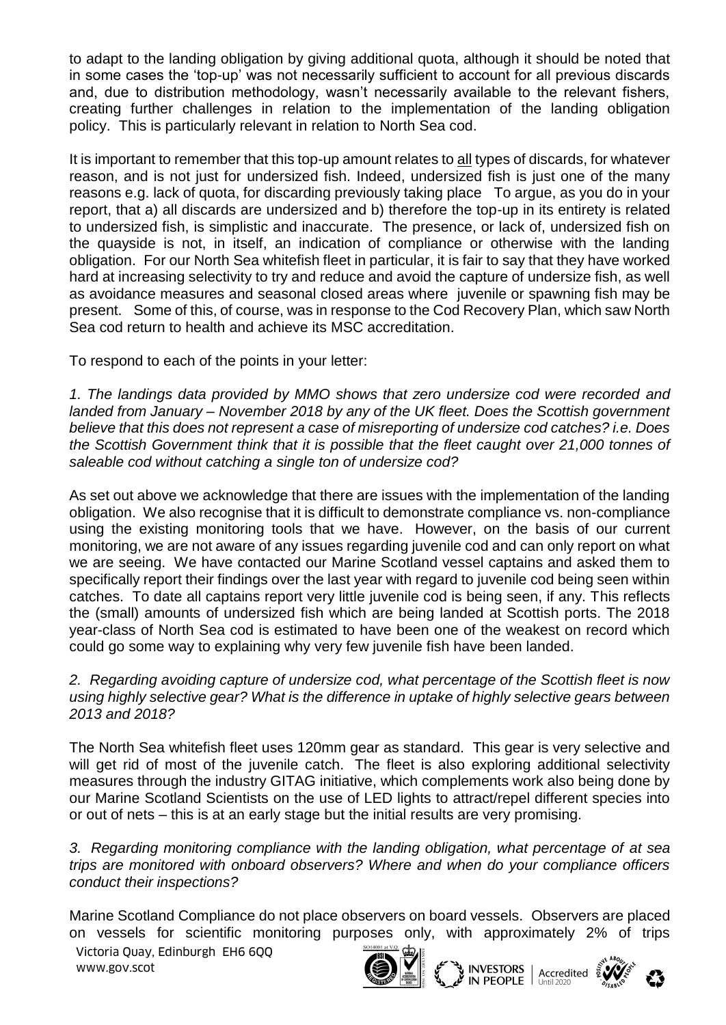to adapt to the landing obligation by giving additional quota, although it should be noted that in some cases the 'top-up' was not necessarily sufficient to account for all previous discards and, due to distribution methodology, wasn't necessarily available to the relevant fishers, creating further challenges in relation to the implementation of the landing obligation policy. This is particularly relevant in relation to North Sea cod.

It is important to remember that this top-up amount relates to all types of discards, for whatever reason, and is not just for undersized fish. Indeed, undersized fish is just one of the many reasons e.g. lack of quota, for discarding previously taking place To argue, as you do in your report, that a) all discards are undersized and b) therefore the top-up in its entirety is related to undersized fish, is simplistic and inaccurate. The presence, or lack of, undersized fish on the quayside is not, in itself, an indication of compliance or otherwise with the landing obligation. For our North Sea whitefish fleet in particular, it is fair to say that they have worked hard at increasing selectivity to try and reduce and avoid the capture of undersize fish, as well as avoidance measures and seasonal closed areas where juvenile or spawning fish may be present. Some of this, of course, was in response to the Cod Recovery Plan, which saw North Sea cod return to health and achieve its MSC accreditation.

To respond to each of the points in your letter:

*1. The landings data provided by MMO shows that zero undersize cod were recorded and landed from January – November 2018 by any of the UK fleet. Does the Scottish government believe that this does not represent a case of misreporting of undersize cod catches? i.e. Does the Scottish Government think that it is possible that the fleet caught over 21,000 tonnes of saleable cod without catching a single ton of undersize cod?*

As set out above we acknowledge that there are issues with the implementation of the landing obligation. We also recognise that it is difficult to demonstrate compliance vs. non-compliance using the existing monitoring tools that we have. However, on the basis of our current monitoring, we are not aware of any issues regarding juvenile cod and can only report on what we are seeing. We have contacted our Marine Scotland vessel captains and asked them to specifically report their findings over the last year with regard to juvenile cod being seen within catches. To date all captains report very little juvenile cod is being seen, if any. This reflects the (small) amounts of undersized fish which are being landed at Scottish ports. The 2018 year-class of North Sea cod is estimated to have been one of the weakest on record which could go some way to explaining why very few juvenile fish have been landed.

*2. Regarding avoiding capture of undersize cod, what percentage of the Scottish fleet is now using highly selective gear? What is the difference in uptake of highly selective gears between 2013 and 2018?*

The North Sea whitefish fleet uses 120mm gear as standard. This gear is very selective and will get rid of most of the juvenile catch. The fleet is also exploring additional selectivity measures through the industry GITAG initiative, which complements work also being done by our Marine Scotland Scientists on the use of LED lights to attract/repel different species into or out of nets – this is at an early stage but the initial results are very promising.

*3. Regarding monitoring compliance with the landing obligation, what percentage of at sea trips are monitored with onboard observers? Where and when do your compliance officers conduct their inspections?*

Marine Scotland Compliance do not place observers on board vessels. Observers are placed on vessels for scientific monitoring purposes only, with approximately 2% of trips

Victoria Quay, Edinburgh EH6 6QQ www.gov.scot